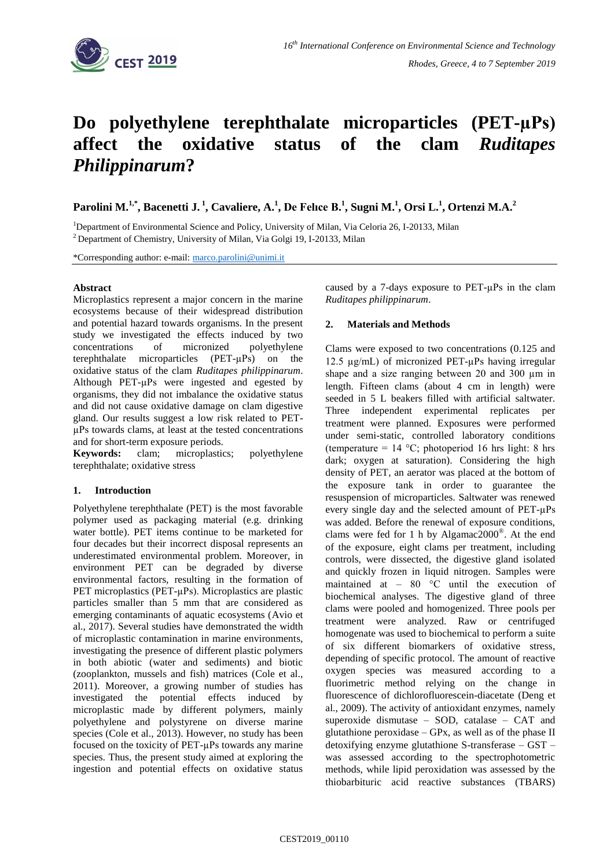

# **Do polyethylene terephthalate microparticles (PET-µPs) affect the oxidative status of the clam** *Ruditapes Philippinarum***?**

**Parolini M. 1,\* , Bacenetti J. <sup>1</sup> , Cavaliere, A. 1 , De Felıce B. 1 , Sugni M. 1 , Orsi L.<sup>1</sup> , Ortenzi M.A.<sup>2</sup>**

<sup>1</sup>Department of Environmental Science and Policy, University of Milan, Via Celoria 26, I-20133, Milan  $2$  Department of Chemistry, University of Milan, Via Golgi 19, I-20133, Milan

\*Corresponding author: e-mail: [marco.parolini@unimi.it](mailto:marco.parolini@unimi.it)

## **Abstract**

Microplastics represent a major concern in the marine ecosystems because of their widespread distribution and potential hazard towards organisms. In the present study we investigated the effects induced by two concentrations of micronized polyethylene terephthalate microparticles (PET-µPs) on the oxidative status of the clam *Ruditapes philippinarum*. Although PET-µPs were ingested and egested by organisms, they did not imbalance the oxidative status and did not cause oxidative damage on clam digestive gland. Our results suggest a low risk related to PETµPs towards clams, at least at the tested concentrations and for short-term exposure periods.

**Keywords:** clam; microplastics; polyethylene terephthalate; oxidative stress

## **1. Introduction**

Polyethylene terephthalate (PET) is the most favorable polymer used as packaging material (e.g. drinking water bottle). PET items continue to be marketed for four decades but their incorrect disposal represents an underestimated environmental problem. Moreover, in environment PET can be degraded by diverse environmental factors, resulting in the formation of PET microplastics (PET-µPs). Microplastics are plastic particles smaller than 5 mm that are considered as emerging contaminants of aquatic ecosystems (Avio et al., 2017). Several studies have demonstrated the width of microplastic contamination in marine environments, investigating the presence of different plastic polymers in both abiotic (water and sediments) and biotic (zooplankton, mussels and fish) matrices (Cole et al., 2011). Moreover, a growing number of studies has investigated the potential effects induced by microplastic made by different polymers, mainly polyethylene and polystyrene on diverse marine species (Cole et al., 2013). However, no study has been focused on the toxicity of PET-µPs towards any marine species. Thus, the present study aimed at exploring the ingestion and potential effects on oxidative status

caused by a 7-days exposure to PET-µPs in the clam *Ruditapes philippinarum*.

## **2. Materials and Methods**

Clams were exposed to two concentrations (0.125 and 12.5 µg/mL) of micronized PET-µPs having irregular shape and a size ranging between 20 and 300 µm in length. Fifteen clams (about 4 cm in length) were seeded in 5 L beakers filled with artificial saltwater. Three independent experimental replicates per treatment were planned. Exposures were performed under semi-static, controlled laboratory conditions (temperature =  $14 \text{ °C}$ ; photoperiod 16 hrs light: 8 hrs dark; oxygen at saturation). Considering the high density of PET, an aerator was placed at the bottom of the exposure tank in order to guarantee the resuspension of microparticles. Saltwater was renewed every single day and the selected amount of PET-µPs was added. Before the renewal of exposure conditions, clams were fed for 1 h by Algamac2000® . At the end of the exposure, eight clams per treatment, including controls, were dissected, the digestive gland isolated and quickly frozen in liquid nitrogen. Samples were maintained at – 80 °C until the execution of biochemical analyses. The digestive gland of three clams were pooled and homogenized. Three pools per treatment were analyzed. Raw or centrifuged homogenate was used to biochemical to perform a suite of six different biomarkers of oxidative stress, depending of specific protocol. The amount of reactive oxygen species was measured according to a fluorimetric method relying on the change in fluorescence of dichlorofluorescein-diacetate (Deng et al., 2009). The activity of antioxidant enzymes, namely superoxide dismutase – SOD, catalase – CAT and glutathione peroxidase – GPx, as well as of the phase  $II$ detoxifying enzyme glutathione S-transferase – GST – was assessed according to the spectrophotometric methods, while lipid peroxidation was assessed by the thiobarbituric acid reactive substances (TBARS)